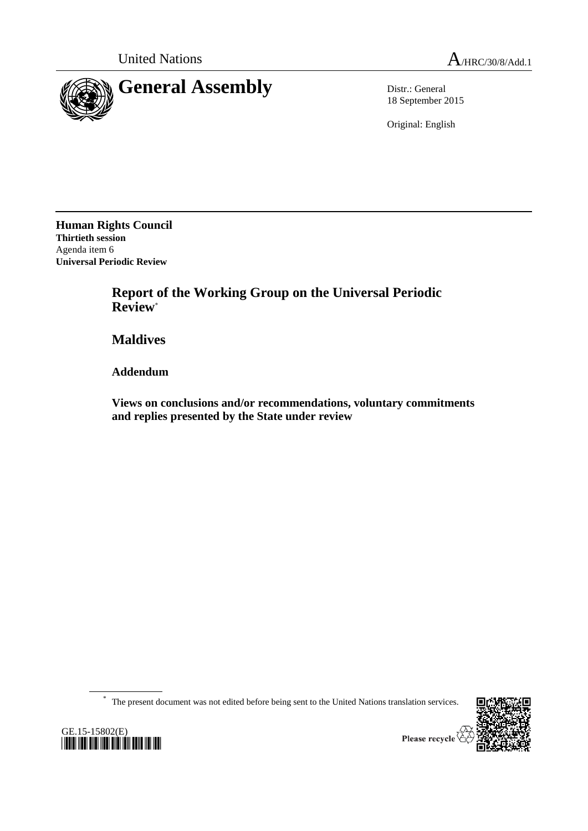



18 September 2015

Original: English

**Human Rights Council Thirtieth session** Agenda item 6 **Universal Periodic Review**

> **Report of the Working Group on the Universal Periodic Review**\*

**Maldives**

**Addendum**

**Views on conclusions and/or recommendations, voluntary commitments and replies presented by the State under review**

\* The present document was not edited before being sent to the United Nations translation services.





Please recycle  $\overline{\mathfrak{C}}$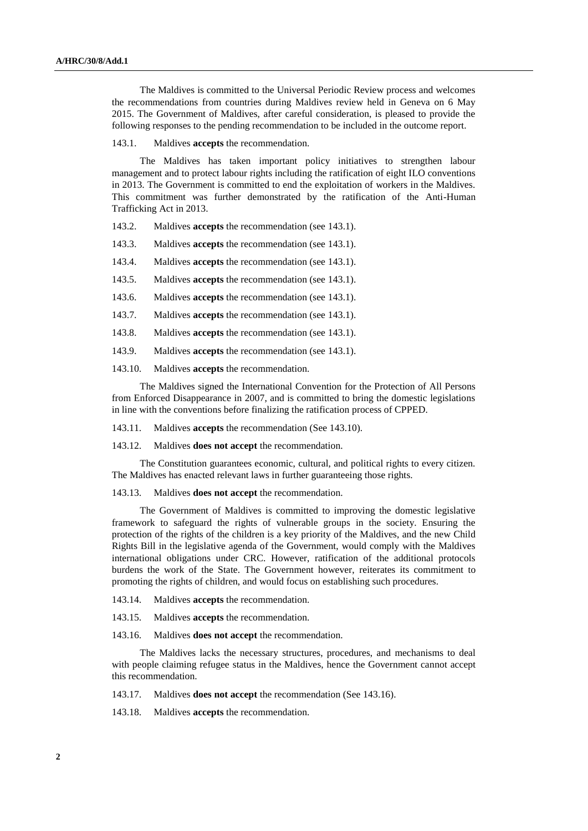The Maldives is committed to the Universal Periodic Review process and welcomes the recommendations from countries during Maldives review held in Geneva on 6 May 2015. The Government of Maldives, after careful consideration, is pleased to provide the following responses to the pending recommendation to be included in the outcome report.

143.1. Maldives **accepts** the recommendation.

The Maldives has taken important policy initiatives to strengthen labour management and to protect labour rights including the ratification of eight ILO conventions in 2013. The Government is committed to end the exploitation of workers in the Maldives. This commitment was further demonstrated by the ratification of the Anti-Human Trafficking Act in 2013.

143.2. Maldives **accepts** the recommendation (see 143.1).

143.3. Maldives **accepts** the recommendation (see 143.1).

143.4. Maldives **accepts** the recommendation (see 143.1).

143.5. Maldives **accepts** the recommendation (see 143.1).

143.6. Maldives **accepts** the recommendation (see 143.1).

143.7. Maldives **accepts** the recommendation (see 143.1).

143.8. Maldives **accepts** the recommendation (see 143.1).

143.9. Maldives **accepts** the recommendation (see 143.1).

143.10. Maldives **accepts** the recommendation.

The Maldives signed the International Convention for the Protection of All Persons from Enforced Disappearance in 2007, and is committed to bring the domestic legislations in line with the conventions before finalizing the ratification process of CPPED.

143.11. Maldives **accepts** the recommendation (See 143.10).

143.12. Maldives **does not accept** the recommendation.

The Constitution guarantees economic, cultural, and political rights to every citizen. The Maldives has enacted relevant laws in further guaranteeing those rights.

143.13. Maldives **does not accept** the recommendation.

The Government of Maldives is committed to improving the domestic legislative framework to safeguard the rights of vulnerable groups in the society. Ensuring the protection of the rights of the children is a key priority of the Maldives, and the new Child Rights Bill in the legislative agenda of the Government, would comply with the Maldives international obligations under CRC. However, ratification of the additional protocols burdens the work of the State. The Government however, reiterates its commitment to promoting the rights of children, and would focus on establishing such procedures.

143.14. Maldives **accepts** the recommendation.

143.15. Maldives **accepts** the recommendation.

143.16. Maldives **does not accept** the recommendation.

The Maldives lacks the necessary structures, procedures, and mechanisms to deal with people claiming refugee status in the Maldives, hence the Government cannot accept this recommendation.

143.17. Maldives **does not accept** the recommendation (See 143.16).

143.18. Maldives **accepts** the recommendation.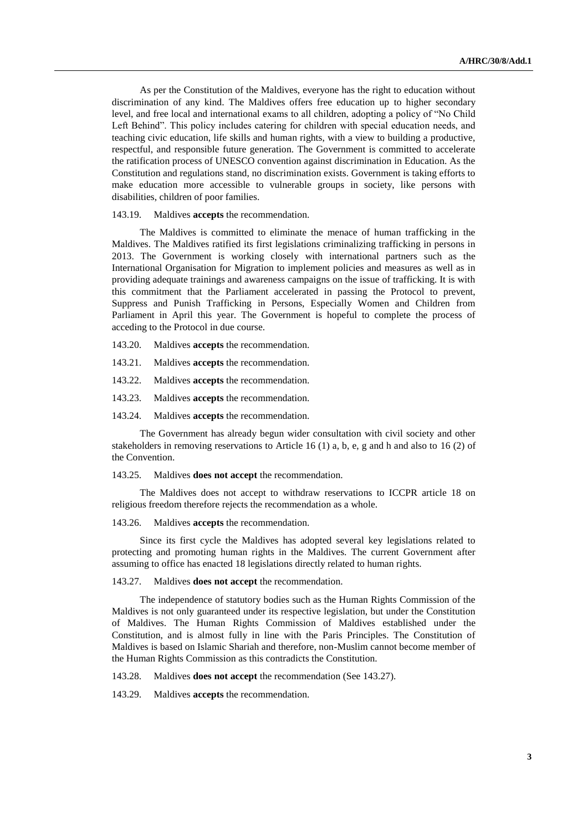As per the Constitution of the Maldives, everyone has the right to education without discrimination of any kind. The Maldives offers free education up to higher secondary level, and free local and international exams to all children, adopting a policy of "No Child Left Behind". This policy includes catering for children with special education needs, and teaching civic education, life skills and human rights, with a view to building a productive, respectful, and responsible future generation. The Government is committed to accelerate the ratification process of UNESCO convention against discrimination in Education. As the Constitution and regulations stand, no discrimination exists. Government is taking efforts to make education more accessible to vulnerable groups in society, like persons with disabilities, children of poor families.

143.19. Maldives **accepts** the recommendation.

The Maldives is committed to eliminate the menace of human trafficking in the Maldives. The Maldives ratified its first legislations criminalizing trafficking in persons in 2013. The Government is working closely with international partners such as the International Organisation for Migration to implement policies and measures as well as in providing adequate trainings and awareness campaigns on the issue of trafficking. It is with this commitment that the Parliament accelerated in passing the Protocol to prevent, Suppress and Punish Trafficking in Persons, Especially Women and Children from Parliament in April this year. The Government is hopeful to complete the process of acceding to the Protocol in due course.

- 143.20. Maldives **accepts** the recommendation.
- 143.21. Maldives **accepts** the recommendation.
- 143.22. Maldives **accepts** the recommendation.
- 143.23. Maldives **accepts** the recommendation.
- 143.24. Maldives **accepts** the recommendation.

The Government has already begun wider consultation with civil society and other stakeholders in removing reservations to Article 16  $(1)$  a, b, e, g and h and also to 16  $(2)$  of the Convention.

143.25. Maldives **does not accept** the recommendation.

The Maldives does not accept to withdraw reservations to ICCPR article 18 on religious freedom therefore rejects the recommendation as a whole.

143.26. Maldives **accepts** the recommendation.

Since its first cycle the Maldives has adopted several key legislations related to protecting and promoting human rights in the Maldives. The current Government after assuming to office has enacted 18 legislations directly related to human rights.

143.27. Maldives **does not accept** the recommendation.

The independence of statutory bodies such as the Human Rights Commission of the Maldives is not only guaranteed under its respective legislation, but under the Constitution of Maldives. The Human Rights Commission of Maldives established under the Constitution, and is almost fully in line with the Paris Principles. The Constitution of Maldives is based on Islamic Shariah and therefore, non-Muslim cannot become member of the Human Rights Commission as this contradicts the Constitution.

143.28. Maldives **does not accept** the recommendation (See 143.27).

143.29. Maldives **accepts** the recommendation.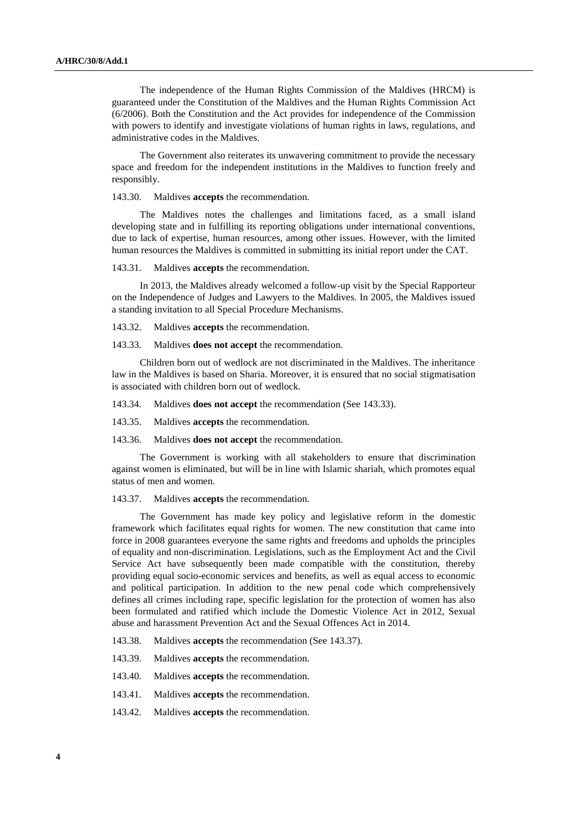The independence of the Human Rights Commission of the Maldives (HRCM) is guaranteed under the Constitution of the Maldives and the Human Rights Commission Act (6/2006). Both the Constitution and the Act provides for independence of the Commission with powers to identify and investigate violations of human rights in laws, regulations, and administrative codes in the Maldives.

The Government also reiterates its unwavering commitment to provide the necessary space and freedom for the independent institutions in the Maldives to function freely and responsibly.

143.30. Maldives **accepts** the recommendation.

The Maldives notes the challenges and limitations faced, as a small island developing state and in fulfilling its reporting obligations under international conventions, due to lack of expertise, human resources, among other issues. However, with the limited human resources the Maldives is committed in submitting its initial report under the CAT.

143.31. Maldives **accepts** the recommendation.

In 2013, the Maldives already welcomed a follow-up visit by the Special Rapporteur on the Independence of Judges and Lawyers to the Maldives. In 2005, the Maldives issued a standing invitation to all Special Procedure Mechanisms.

143.32. Maldives **accepts** the recommendation.

143.33. Maldives **does not accept** the recommendation.

Children born out of wedlock are not discriminated in the Maldives. The inheritance law in the Maldives is based on Sharia. Moreover, it is ensured that no social stigmatisation is associated with children born out of wedlock.

143.34. Maldives **does not accept** the recommendation (See 143.33).

143.35. Maldives **accepts** the recommendation.

143.36. Maldives **does not accept** the recommendation.

The Government is working with all stakeholders to ensure that discrimination against women is eliminated, but will be in line with Islamic shariah, which promotes equal status of men and women.

143.37. Maldives **accepts** the recommendation.

The Government has made key policy and legislative reform in the domestic framework which facilitates equal rights for women. The new constitution that came into force in 2008 guarantees everyone the same rights and freedoms and upholds the principles of equality and non-discrimination. Legislations, such as the Employment Act and the Civil Service Act have subsequently been made compatible with the constitution, thereby providing equal socio-economic services and benefits, as well as equal access to economic and political participation. In addition to the new penal code which comprehensively defines all crimes including rape, specific legislation for the protection of women has also been formulated and ratified which include the Domestic Violence Act in 2012, Sexual abuse and harassment Prevention Act and the Sexual Offences Act in 2014.

143.38. Maldives **accepts** the recommendation (See 143.37).

143.39. Maldives **accepts** the recommendation.

143.40. Maldives **accepts** the recommendation.

143.41. Maldives **accepts** the recommendation.

143.42. Maldives **accepts** the recommendation.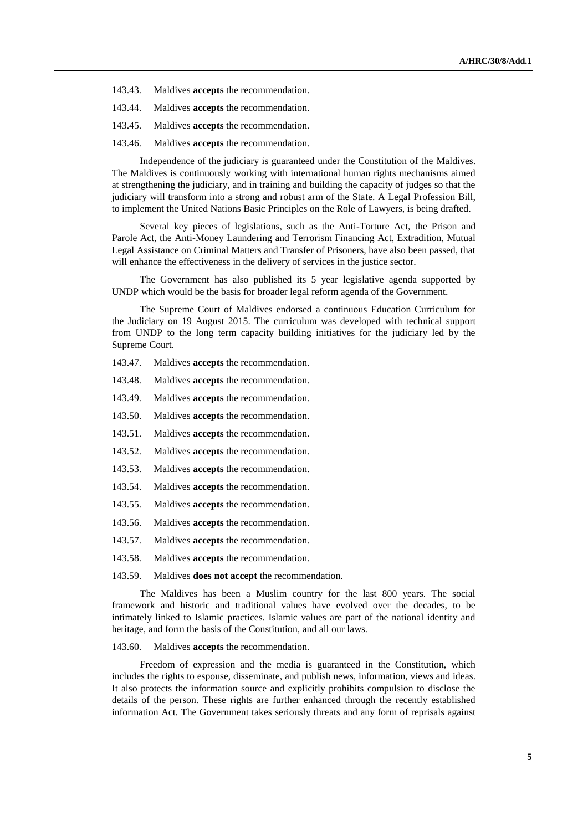- 143.43. Maldives **accepts** the recommendation.
- 143.44. Maldives **accepts** the recommendation.
- 143.45. Maldives **accepts** the recommendation.
- 143.46. Maldives **accepts** the recommendation.

Independence of the judiciary is guaranteed under the Constitution of the Maldives. The Maldives is continuously working with international human rights mechanisms aimed at strengthening the judiciary, and in training and building the capacity of judges so that the judiciary will transform into a strong and robust arm of the State. A Legal Profession Bill, to implement the United Nations Basic Principles on the Role of Lawyers, is being drafted.

Several key pieces of legislations, such as the Anti-Torture Act, the Prison and Parole Act, the Anti-Money Laundering and Terrorism Financing Act, Extradition, Mutual Legal Assistance on Criminal Matters and Transfer of Prisoners, have also been passed, that will enhance the effectiveness in the delivery of services in the justice sector.

The Government has also published its 5 year legislative agenda supported by UNDP which would be the basis for broader legal reform agenda of the Government.

The Supreme Court of Maldives endorsed a continuous Education Curriculum for the Judiciary on 19 August 2015. The curriculum was developed with technical support from UNDP to the long term capacity building initiatives for the judiciary led by the Supreme Court.

- 143.47. Maldives **accepts** the recommendation.
- 143.48. Maldives **accepts** the recommendation.
- 143.49. Maldives **accepts** the recommendation.
- 143.50. Maldives **accepts** the recommendation.
- 143.51. Maldives **accepts** the recommendation.
- 143.52. Maldives **accepts** the recommendation.
- 143.53. Maldives **accepts** the recommendation.
- 143.54. Maldives **accepts** the recommendation.
- 143.55. Maldives **accepts** the recommendation.
- 143.56. Maldives **accepts** the recommendation.
- 143.57. Maldives **accepts** the recommendation.
- 143.58. Maldives **accepts** the recommendation.

143.59. Maldives **does not accept** the recommendation.

The Maldives has been a Muslim country for the last 800 years. The social framework and historic and traditional values have evolved over the decades, to be intimately linked to Islamic practices. Islamic values are part of the national identity and heritage, and form the basis of the Constitution, and all our laws.

## 143.60. Maldives **accepts** the recommendation.

Freedom of expression and the media is guaranteed in the Constitution, which includes the rights to espouse, disseminate, and publish news, information, views and ideas. It also protects the information source and explicitly prohibits compulsion to disclose the details of the person. These rights are further enhanced through the recently established information Act. The Government takes seriously threats and any form of reprisals against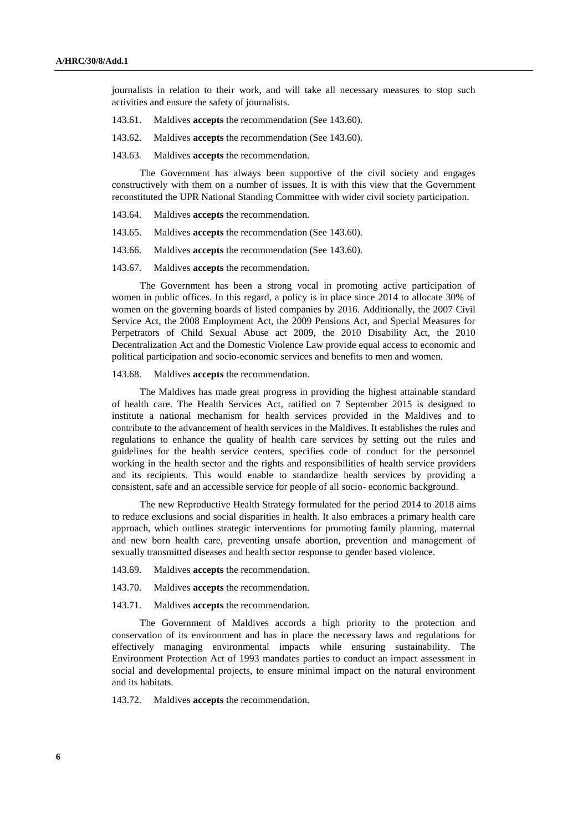journalists in relation to their work, and will take all necessary measures to stop such activities and ensure the safety of journalists.

- 143.61. Maldives **accepts** the recommendation (See 143.60).
- 143.62. Maldives **accepts** the recommendation (See 143.60).
- 143.63. Maldives **accepts** the recommendation.

The Government has always been supportive of the civil society and engages constructively with them on a number of issues. It is with this view that the Government reconstituted the UPR National Standing Committee with wider civil society participation.

- 143.64. Maldives **accepts** the recommendation.
- 143.65. Maldives **accepts** the recommendation (See 143.60).
- 143.66. Maldives **accepts** the recommendation (See 143.60).
- 143.67. Maldives **accepts** the recommendation.

The Government has been a strong vocal in promoting active participation of women in public offices. In this regard, a policy is in place since 2014 to allocate 30% of women on the governing boards of listed companies by 2016. Additionally, the 2007 Civil Service Act, the 2008 Employment Act, the 2009 Pensions Act, and Special Measures for Perpetrators of Child Sexual Abuse act 2009, the 2010 Disability Act, the 2010 Decentralization Act and the Domestic Violence Law provide equal access to economic and political participation and socio-economic services and benefits to men and women.

143.68. Maldives **accepts** the recommendation.

The Maldives has made great progress in providing the highest attainable standard of health care. The Health Services Act, ratified on 7 September 2015 is designed to institute a national mechanism for health services provided in the Maldives and to contribute to the advancement of health services in the Maldives. It establishes the rules and regulations to enhance the quality of health care services by setting out the rules and guidelines for the health service centers, specifies code of conduct for the personnel working in the health sector and the rights and responsibilities of health service providers and its recipients. This would enable to standardize health services by providing a consistent, safe and an accessible service for people of all socio- economic background.

The new Reproductive Health Strategy formulated for the period 2014 to 2018 aims to reduce exclusions and social disparities in health. It also embraces a primary health care approach, which outlines strategic interventions for promoting family planning, maternal and new born health care, preventing unsafe abortion, prevention and management of sexually transmitted diseases and health sector response to gender based violence.

- 143.69. Maldives **accepts** the recommendation.
- 143.70. Maldives **accepts** the recommendation.
- 143.71. Maldives **accepts** the recommendation.

The Government of Maldives accords a high priority to the protection and conservation of its environment and has in place the necessary laws and regulations for effectively managing environmental impacts while ensuring sustainability. The Environment Protection Act of 1993 mandates parties to conduct an impact assessment in social and developmental projects, to ensure minimal impact on the natural environment and its habitats.

143.72. Maldives **accepts** the recommendation.